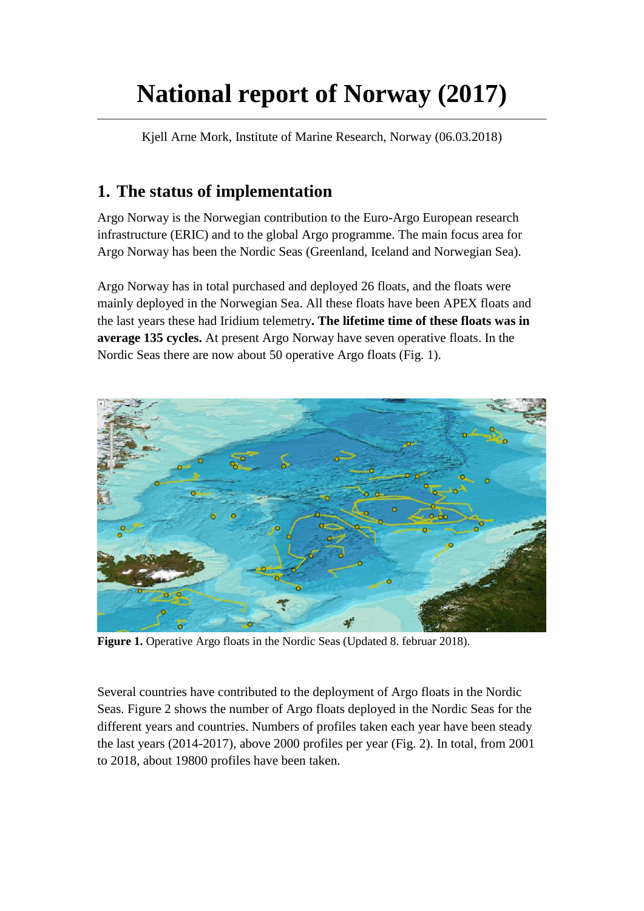# **National report of Norway (2017)**

Kjell Arne Mork, Institute of Marine Research, Norway (06.03.2018)

### **1. The status of implementation**

Argo Norway is the Norwegian contribution to the Euro-Argo European research infrastructure (ERIC) and to the global Argo programme. The main focus area for Argo Norway has been the Nordic Seas (Greenland, Iceland and Norwegian Sea).

Argo Norway has in total purchased and deployed 26 floats, and the floats were mainly deployed in the Norwegian Sea. All these floats have been APEX floats and the last years these had Iridium telemetry**. The lifetime time of these floats was in average 135 cycles.** At present Argo Norway have seven operative floats. In the Nordic Seas there are now about 50 operative Argo floats (Fig. 1).



**Figure 1.** Operative Argo floats in the Nordic Seas (Updated 8. februar 2018).

Several countries have contributed to the deployment of Argo floats in the Nordic Seas. Figure 2 shows the number of Argo floats deployed in the Nordic Seas for the different years and countries. Numbers of profiles taken each year have been steady the last years (2014-2017), above 2000 profiles per year (Fig. 2). In total, from 2001 to 2018, about 19800 profiles have been taken.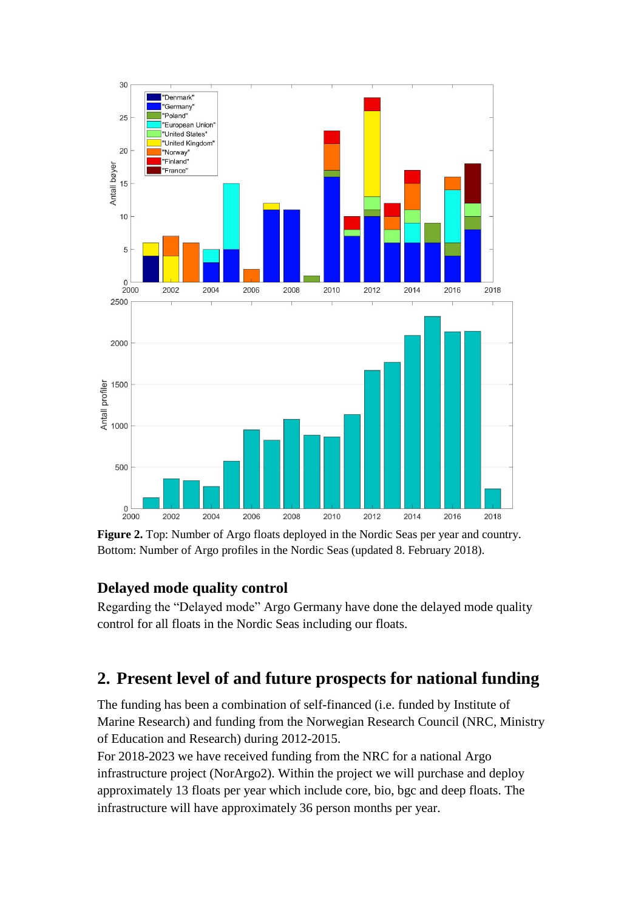

**Figure 2.** Top: Number of Argo floats deployed in the Nordic Seas per year and country. Bottom: Number of Argo profiles in the Nordic Seas (updated 8. February 2018).

#### **Delayed mode quality control**

Regarding the "Delayed mode" Argo Germany have done the delayed mode quality control for all floats in the Nordic Seas including our floats.

#### **2. Present level of and future prospects for national funding**

The funding has been a combination of self-financed (i.e. funded by Institute of Marine Research) and funding from the Norwegian Research Council (NRC, Ministry of Education and Research) during 2012-2015.

For 2018-2023 we have received funding from the NRC for a national Argo infrastructure project (NorArgo2). Within the project we will purchase and deploy approximately 13 floats per year which include core, bio, bgc and deep floats. The infrastructure will have approximately 36 person months per year.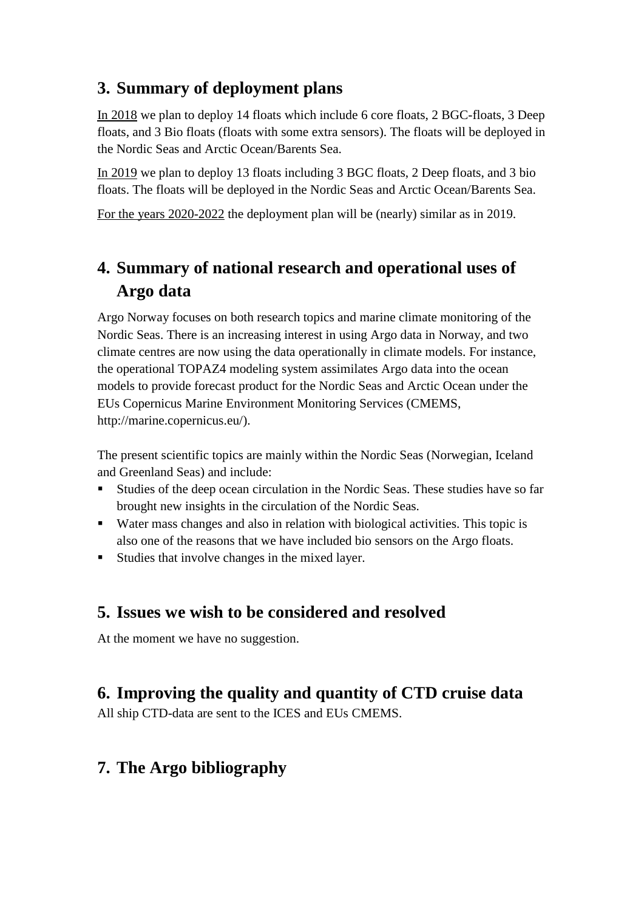#### **3. Summary of deployment plans**

In 2018 we plan to deploy 14 floats which include 6 core floats, 2 BGC-floats, 3 Deep floats, and 3 Bio floats (floats with some extra sensors). The floats will be deployed in the Nordic Seas and Arctic Ocean/Barents Sea.

In 2019 we plan to deploy 13 floats including 3 BGC floats, 2 Deep floats, and 3 bio floats. The floats will be deployed in the Nordic Seas and Arctic Ocean/Barents Sea.

For the years 2020-2022 the deployment plan will be (nearly) similar as in 2019.

## **4. Summary of national research and operational uses of Argo data**

Argo Norway focuses on both research topics and marine climate monitoring of the Nordic Seas. There is an increasing interest in using Argo data in Norway, and two climate centres are now using the data operationally in climate models. For instance, the operational TOPAZ4 modeling system assimilates Argo data into the ocean models to provide forecast product for the Nordic Seas and Arctic Ocean under the EUs Copernicus Marine Environment Monitoring Services (CMEMS, http://marine.copernicus.eu/).

The present scientific topics are mainly within the Nordic Seas (Norwegian, Iceland and Greenland Seas) and include:

- Studies of the deep ocean circulation in the Nordic Seas. These studies have so far brought new insights in the circulation of the Nordic Seas.
- Water mass changes and also in relation with biological activities. This topic is also one of the reasons that we have included bio sensors on the Argo floats.
- Studies that involve changes in the mixed layer.

#### **5. Issues we wish to be considered and resolved**

At the moment we have no suggestion.

#### **6. Improving the quality and quantity of CTD cruise data**

All ship CTD-data are sent to the ICES and EUs CMEMS.

#### **7. The Argo bibliography**